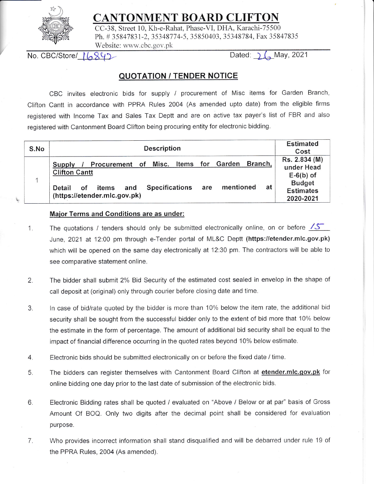

## ITONMENT BOARD CLIFTON

CC-38, Street 10. Kh-e-Rahat. Phase-Vl, DFIA. Karachi-75500 Ph. # 35847831-2, 35348774-5, 35850403, 35348784, Fax 35847835 Website: www.cbc.gov.pk

No. CBC/Store/  $\lceil \sqrt{342} \rceil$  Dated:  $\lceil \sqrt{484} \rceil$  Dated:  $\lceil \sqrt{484} \rceil$ 

## OUOTATION / TENDER NOTICE

CBC invites electronic bids for supply / procurement of Misc items for Garden Branch, Clifton Cantt in accordance with PPRA Rules 2004 (As amended upto date) from the eligible firms registered with lncome Tax and Sales Tax Deptt and are on active tax payer's list of FBR and also registered with Cantonment Board Clifton being procuring entity for electronic bidding.

| S.No | <b>Description</b>                                                                                                                                                                                              | <b>Estimated</b><br>Cost                                                                     |
|------|-----------------------------------------------------------------------------------------------------------------------------------------------------------------------------------------------------------------|----------------------------------------------------------------------------------------------|
|      | Branch,<br>Items for Garden<br>Procurement of Misc.<br>Supply<br><b>Clifton Cantt</b><br>mentioned<br>at<br><b>Specifications</b><br>and<br>are<br><b>of</b><br>items<br>Detail<br>(https://etender.mlc.gov.pk) | Rs. 2.834 (M)<br>under Head<br>$E-6(b)$ of<br><b>Budget</b><br><b>Estimates</b><br>2020-2021 |

## Maior Terms and Conditions are as under:

- 1 The quotations / tenders should only be submitted electronically online, on or before  $\sqrt{5}$ June, 2021 at 12:00 pm through e-Tender portal of ML&C Deptt (https://etender.mlc.gov.pk) which will be opened on the same day electronically at 12:30 pm. The contractors will be able to see comparative statement online.
- The bidder shall submit 2% Bid Security of the estimated cost sealed in envelop in the shape of call deposit at (original) only through courier before closing date and time. 2.
- ln case of bid/rate quoted by the bidder is more than 10% below the item rate, the additional bid security shall be sought from the successful bidder only to the extent of bid more that 10% below the estimate in the form of percentage. The amount of additional bid security shall be equal to the impact of financial difference occurring in the quoted rates beyond 10% below estimate.  $3.$
- Electronic bids should be submitted electronically on or before the fixed date / time. 4.
- The bidders can register themselves with Cantonment Board Clifton at etender.mlc.gov.pk for online bidding one day prior to the last date of submission of the electronic bids. 5
- Electronic Bidding rates shall be quoted / evaluated on "Above / Below or at par" basis of Gross Amount Of BOQ. Only two digits after the decimal point shall be considered for evaluation purpose. 6
- Who provides incorrect information shall stand disqualified and will be debarred under rule 19 of the PPRA Rules, 2004 (As amended). 7